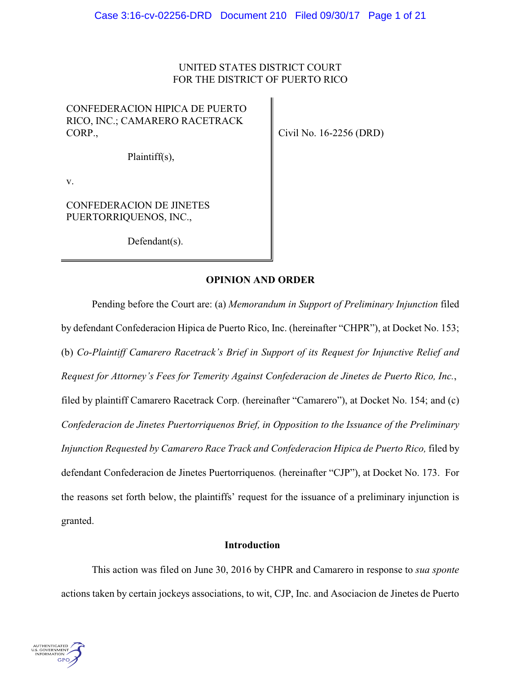## UNITED STATES DISTRICT COURT FOR THE DISTRICT OF PUERTO RICO

# CONFEDERACION HIPICA DE PUERTO RICO, INC.; CAMARERO RACETRACK CORP.,

Civil No. 16-2256 (DRD)

Plaintiff(s),

v.

CONFEDERACION DE JINETES PUERTORRIQUENOS, INC.,

Defendant(s).

## **OPINION AND ORDER**

Pending before the Court are: (a) *Memorandum in Support of Preliminary Injunction* filed by defendant Confederacion Hipica de Puerto Rico, Inc. (hereinafter "CHPR"), at Docket No. 153; (b) *Co-Plaintiff Camarero Racetrack's Brief in Support of its Request for Injunctive Relief and Request for Attorney's Fees for Temerity Against Confederacion de Jinetes de Puerto Rico, Inc.*, filed by plaintiff Camarero Racetrack Corp. (hereinafter "Camarero"), at Docket No. 154; and (c) *Confederacion de Jinetes Puertorriquenos Brief, in Opposition to the Issuance of the Preliminary Injunction Requested by Camarero Race Track and Confederacion Hipica de Puerto Rico,* filed by defendant Confederacion de Jinetes Puertorriquenos*.* (hereinafter "CJP"), at Docket No. 173. For the reasons set forth below, the plaintiffs' request for the issuance of a preliminary injunction is granted.

## **Introduction**

This action was filed on June 30, 2016 by CHPR and Camarero in response to *sua sponte* actions taken by certain jockeys associations, to wit, CJP, Inc. and Asociacion de Jinetes de Puerto

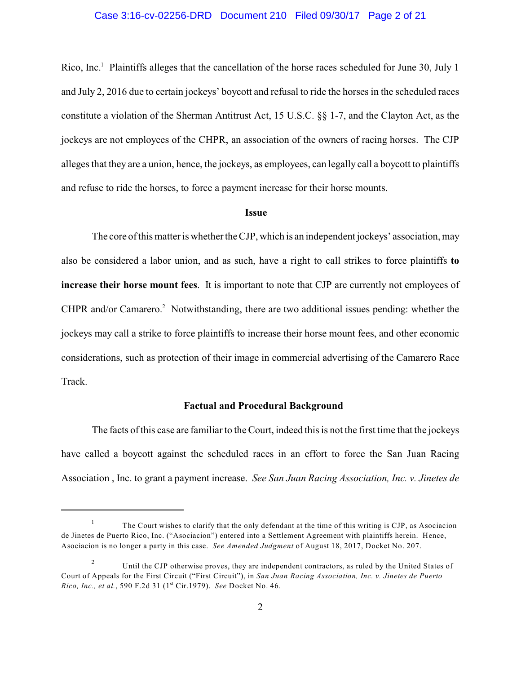#### Case 3:16-cv-02256-DRD Document 210 Filed 09/30/17 Page 2 of 21

Rico, Inc.<sup>1</sup> Plaintiffs alleges that the cancellation of the horse races scheduled for June 30, July 1 and July 2, 2016 due to certain jockeys' boycott and refusal to ride the horses in the scheduled races constitute a violation of the Sherman Antitrust Act, 15 U.S.C. §§ 1-7, and the Clayton Act, as the jockeys are not employees of the CHPR, an association of the owners of racing horses. The CJP alleges that they are a union, hence, the jockeys, as employees, can legally call a boycott to plaintiffs and refuse to ride the horses, to force a payment increase for their horse mounts.

#### **Issue**

The core of this matter is whether the CJP, which is an independent jockeys' association, may also be considered a labor union, and as such, have a right to call strikes to force plaintiffs **to increase their horse mount fees**. It is important to note that CJP are currently not employees of CHPR and/or Camarero.<sup>2</sup> Notwithstanding, there are two additional issues pending: whether the jockeys may call a strike to force plaintiffs to increase their horse mount fees, and other economic considerations, such as protection of their image in commercial advertising of the Camarero Race Track.

#### **Factual and Procedural Background**

The facts of this case are familiar to the Court, indeed this is not the first time that the jockeys have called a boycott against the scheduled races in an effort to force the San Juan Racing Association , Inc. to grant a payment increase. *See San Juan Racing Association, Inc. v. Jinetes de*

The Court wishes to clarify that the only defendant at the time of this writing is CJP, as Asociacion 1 de Jinetes de Puerto Rico, Inc. ("Asociacion") entered into a Settlement Agreement with plaintiffs herein. Hence, Asociacion is no longer a party in this case. *See Amended Judgment* of August 18, 2017, Docket No. 207.

Until the CJP otherwise proves, they are independent contractors, as ruled by the United States of 2 Court of Appeals for the First Circuit ("First Circuit"), in *San Juan Racing Association, Inc. v. Jinetes de Puerto Rico, Inc., et al.,* 590 F.2d 31 (1<sup>st</sup> Cir.1979). *See* Docket No. 46.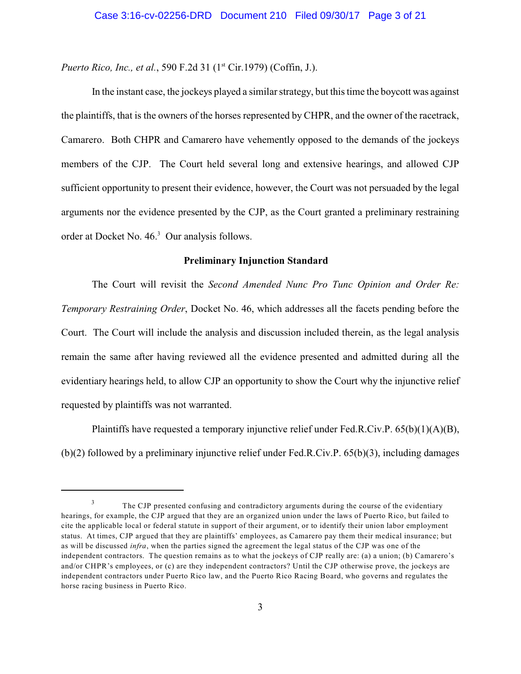*Puerto Rico, Inc., et al.,* 590 F.2d 31 (1<sup>st</sup> Cir.1979) (Coffin, J.).

In the instant case, the jockeys played a similar strategy, but this time the boycott was against the plaintiffs, that is the owners of the horses represented by CHPR, and the owner of the racetrack, Camarero. Both CHPR and Camarero have vehemently opposed to the demands of the jockeys members of the CJP. The Court held several long and extensive hearings, and allowed CJP sufficient opportunity to present their evidence, however, the Court was not persuaded by the legal arguments nor the evidence presented by the CJP, as the Court granted a preliminary restraining order at Docket No.  $46<sup>3</sup>$  Our analysis follows.

#### **Preliminary Injunction Standard**

The Court will revisit the *Second Amended Nunc Pro Tunc Opinion and Order Re: Temporary Restraining Order*, Docket No. 46, which addresses all the facets pending before the Court. The Court will include the analysis and discussion included therein, as the legal analysis remain the same after having reviewed all the evidence presented and admitted during all the evidentiary hearings held, to allow CJP an opportunity to show the Court why the injunctive relief requested by plaintiffs was not warranted.

Plaintiffs have requested a temporary injunctive relief under Fed.R.Civ.P. 65(b)(1)(A)(B), (b)(2) followed by a preliminary injunctive relief under Fed.R.Civ.P. 65(b)(3), including damages

The CJP presented confusing and contradictory arguments during the course of the evidentiary 3 hearings, for example, the CJP argued that they are an organized union under the laws of Puerto Rico, but failed to cite the applicable local or federal statute in support of their argument, or to identify their union labor employment status. At times, CJP argued that they are plaintiffs' employees, as Camarero pay them their medical insurance; but as will be discussed *infra*, when the parties signed the agreement the legal status of the CJP was one of the independent contractors. The question remains as to what the jockeys of CJP really are: (a) a union; (b) Camarero's and/or CHPR's employees, or (c) are they independent contractors? Until the CJP otherwise prove, the jockeys are independent contractors under Puerto Rico law, and the Puerto Rico Racing Board, who governs and regulates the horse racing business in Puerto Rico.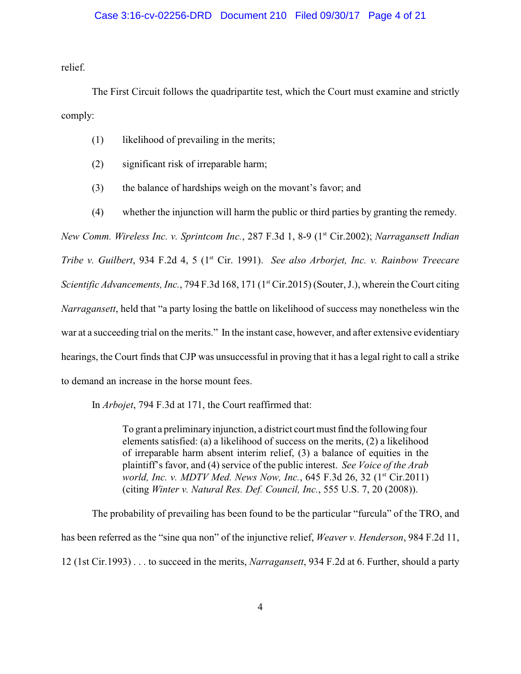#### Case 3:16-cv-02256-DRD Document 210 Filed 09/30/17 Page 4 of 21

relief.

The First Circuit follows the quadripartite test, which the Court must examine and strictly comply:

- (1) likelihood of prevailing in the merits;
- (2) significant risk of irreparable harm;
- (3) the balance of hardships weigh on the movant's favor; and
- (4) whether the injunction will harm the public or third parties by granting the remedy.

*New Comm. Wireless Inc. v. Sprintcom Inc.,* 287 F.3d 1, 8-9 (1<sup>st</sup> Cir.2002); *Narragansett Indian Tribe v. Guilbert*, 934 F.2d 4, 5 (1<sup>st</sup> Cir. 1991). *See also Arborjet, Inc. v. Rainbow Treecare Scientific Advancements, Inc., 794 F.3d 168, 171 (1<sup>st</sup> Cir.2015) (Souter, J.), wherein the Court citing Narragansett*, held that "a party losing the battle on likelihood of success may nonetheless win the war at a succeeding trial on the merits." In the instant case, however, and after extensive evidentiary hearings, the Court finds that CJP was unsuccessful in proving that it has a legal right to call a strike to demand an increase in the horse mount fees.

In *Arbojet*, 794 F.3d at 171, the Court reaffirmed that:

To grant a preliminaryinjunction, a district court must find the following four elements satisfied: (a) a likelihood of success on the merits, (2) a likelihood of irreparable harm absent interim relief, (3) a balance of equities in the plaintiff's favor, and (4) service of the public interest. *See Voice of the Arab world, Inc. v. MDTV Med. News Now, Inc.*, 645 F.3d 26, 32 (1<sup>st</sup> Cir.2011) (citing *Winter v. Natural Res. Def. Council, Inc.*, 555 U.S. 7, 20 (2008)).

The probability of prevailing has been found to be the particular "furcula" of the TRO, and has been referred as the "sine qua non" of the injunctive relief, *Weaver v. Henderson*, 984 F.2d 11, 12 (1st Cir.1993) . . . to succeed in the merits, *Narragansett*, 934 F.2d at 6. Further, should a party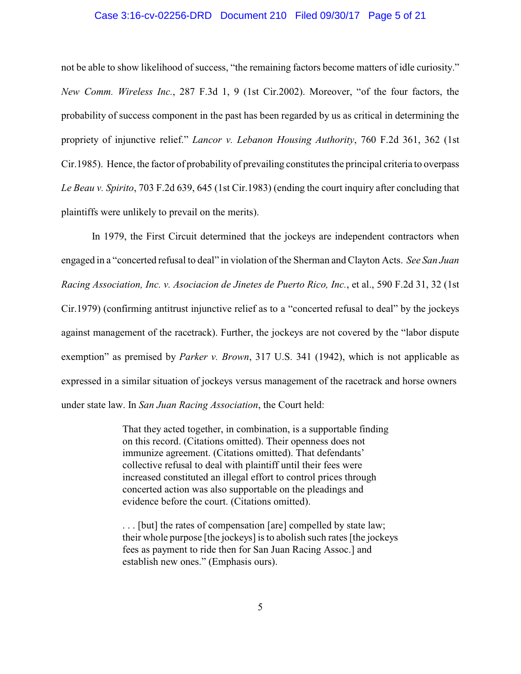#### Case 3:16-cv-02256-DRD Document 210 Filed 09/30/17 Page 5 of 21

not be able to show likelihood of success, "the remaining factors become matters of idle curiosity." *New Comm. Wireless Inc.*, 287 F.3d 1, 9 (1st Cir.2002). Moreover, "of the four factors, the probability of success component in the past has been regarded by us as critical in determining the propriety of injunctive relief." *Lancor v. Lebanon Housing Authority*, 760 F.2d 361, 362 (1st Cir.1985). Hence, the factor of probability of prevailing constitutes the principal criteria to overpass *Le Beau v. Spirito*, 703 F.2d 639, 645 (1st Cir.1983) (ending the court inquiry after concluding that plaintiffs were unlikely to prevail on the merits).

In 1979, the First Circuit determined that the jockeys are independent contractors when engaged in a "concerted refusal to deal" in violation of the Sherman and Clayton Acts. *See San Juan Racing Association, Inc. v. Asociacion de Jinetes de Puerto Rico, Inc.*, et al., 590 F.2d 31, 32 (1st Cir.1979) (confirming antitrust injunctive relief as to a "concerted refusal to deal" by the jockeys against management of the racetrack). Further, the jockeys are not covered by the "labor dispute exemption" as premised by *Parker v. Brown*, 317 U.S. 341 (1942), which is not applicable as expressed in a similar situation of jockeys versus management of the racetrack and horse owners under state law. In *San Juan Racing Association*, the Court held:

> That they acted together, in combination, is a supportable finding on this record. (Citations omitted). Their openness does not immunize agreement. (Citations omitted). That defendants' collective refusal to deal with plaintiff until their fees were increased constituted an illegal effort to control prices through concerted action was also supportable on the pleadings and evidence before the court. (Citations omitted).

. . . [but] the rates of compensation [are] compelled by state law; their whole purpose [the jockeys] is to abolish such rates [the jockeys fees as payment to ride then for San Juan Racing Assoc.] and establish new ones." (Emphasis ours).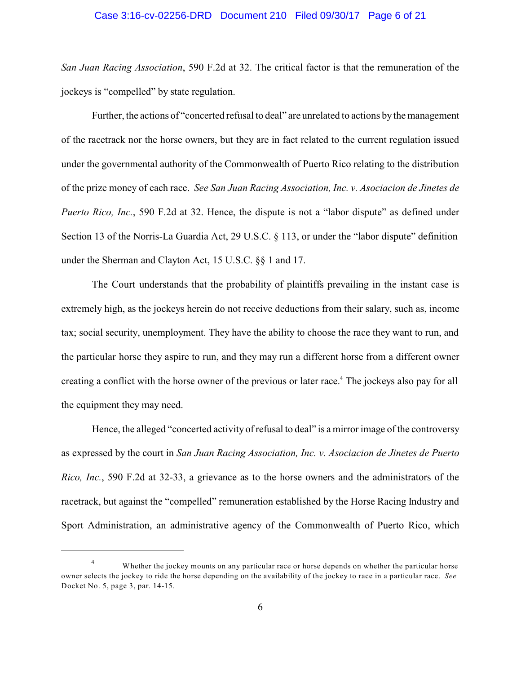#### Case 3:16-cv-02256-DRD Document 210 Filed 09/30/17 Page 6 of 21

*San Juan Racing Association*, 590 F.2d at 32. The critical factor is that the remuneration of the jockeys is "compelled" by state regulation.

Further, the actions of "concerted refusal to deal" are unrelated to actions by the management of the racetrack nor the horse owners, but they are in fact related to the current regulation issued under the governmental authority of the Commonwealth of Puerto Rico relating to the distribution of the prize money of each race. *See San Juan Racing Association, Inc. v. Asociacion de Jinetes de Puerto Rico, Inc.*, 590 F.2d at 32. Hence, the dispute is not a "labor dispute" as defined under Section 13 of the Norris-La Guardia Act, 29 U.S.C. § 113, or under the "labor dispute" definition under the Sherman and Clayton Act, 15 U.S.C. §§ 1 and 17.

The Court understands that the probability of plaintiffs prevailing in the instant case is extremely high, as the jockeys herein do not receive deductions from their salary, such as, income tax; social security, unemployment. They have the ability to choose the race they want to run, and the particular horse they aspire to run, and they may run a different horse from a different owner creating a conflict with the horse owner of the previous or later race.<sup>4</sup> The jockeys also pay for all the equipment they may need.

Hence, the alleged "concerted activity of refusal to deal" is a mirror image of the controversy as expressed by the court in *San Juan Racing Association, Inc. v. Asociacion de Jinetes de Puerto Rico, Inc.*, 590 F.2d at 32-33, a grievance as to the horse owners and the administrators of the racetrack, but against the "compelled" remuneration established by the Horse Racing Industry and Sport Administration, an administrative agency of the Commonwealth of Puerto Rico, which

Whether the jockey mounts on any particular race or horse depends on whether the particular horse 4 owner selects the jockey to ride the horse depending on the availability of the jockey to race in a particular race. *See* Docket No. 5, page 3, par. 14-15.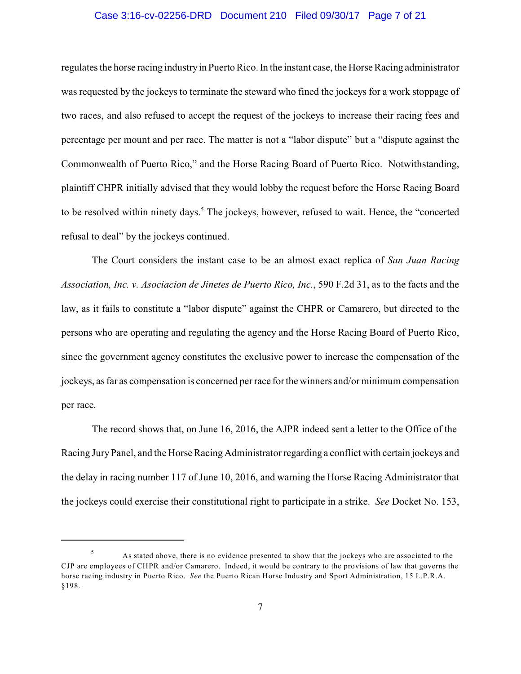#### Case 3:16-cv-02256-DRD Document 210 Filed 09/30/17 Page 7 of 21

regulates the horse racing industryin Puerto Rico. In the instant case, the Horse Racing administrator was requested by the jockeys to terminate the steward who fined the jockeys for a work stoppage of two races, and also refused to accept the request of the jockeys to increase their racing fees and percentage per mount and per race. The matter is not a "labor dispute" but a "dispute against the Commonwealth of Puerto Rico," and the Horse Racing Board of Puerto Rico. Notwithstanding, plaintiff CHPR initially advised that they would lobby the request before the Horse Racing Board to be resolved within ninety days.<sup>5</sup> The jockeys, however, refused to wait. Hence, the "concerted refusal to deal" by the jockeys continued.

The Court considers the instant case to be an almost exact replica of *San Juan Racing Association, Inc. v. Asociacion de Jinetes de Puerto Rico, Inc.*, 590 F.2d 31, as to the facts and the law, as it fails to constitute a "labor dispute" against the CHPR or Camarero, but directed to the persons who are operating and regulating the agency and the Horse Racing Board of Puerto Rico, since the government agency constitutes the exclusive power to increase the compensation of the jockeys, as far as compensation is concerned per race for the winners and/or minimum compensation per race.

The record shows that, on June 16, 2016, the AJPR indeed sent a letter to the Office of the Racing JuryPanel, and the Horse Racing Administrator regarding a conflict with certain jockeys and the delay in racing number 117 of June 10, 2016, and warning the Horse Racing Administrator that the jockeys could exercise their constitutional right to participate in a strike. *See* Docket No. 153,

As stated above, there is no evidence presented to show that the jockeys who are associated to the 5 CJP are employees of CHPR and/or Camarero. Indeed, it would be contrary to the provisions of law that governs the horse racing industry in Puerto Rico. *See* the Puerto Rican Horse Industry and Sport Administration, 15 L.P.R.A. §198.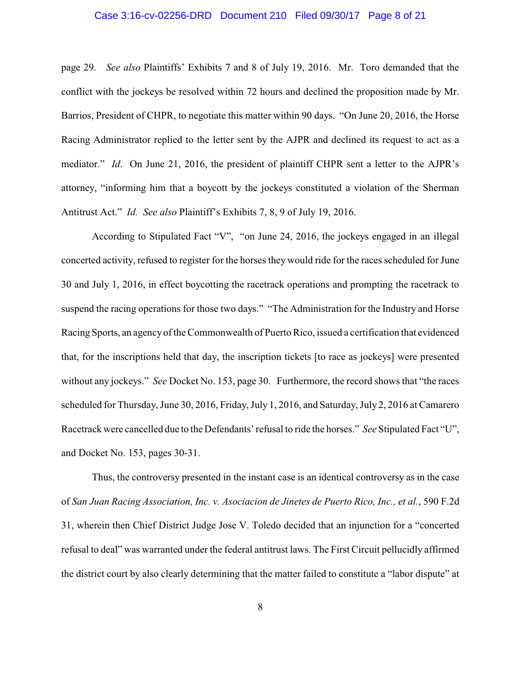#### Case 3:16-cv-02256-DRD Document 210 Filed 09/30/17 Page 8 of 21

page 29. *See also* Plaintiffs' Exhibits 7 and 8 of July 19, 2016. Mr. Toro demanded that the conflict with the jockeys be resolved within 72 hours and declined the proposition made by Mr. Barrios, President of CHPR, to negotiate this matter within 90 days. "On June 20, 2016, the Horse Racing Administrator replied to the letter sent by the AJPR and declined its request to act as a mediator." *Id*. On June 21, 2016, the president of plaintiff CHPR sent a letter to the AJPR's attorney, "informing him that a boycott by the jockeys constituted a violation of the Sherman Antitrust Act." *Id. See also* Plaintiff's Exhibits 7, 8, 9 of July 19, 2016.

According to Stipulated Fact "V", "on June 24, 2016, the jockeys engaged in an illegal concerted activity, refused to register for the horses they would ride for the races scheduled for June 30 and July 1, 2016, in effect boycotting the racetrack operations and prompting the racetrack to suspend the racing operations for those two days." "The Administration for the Industry and Horse Racing Sports, an agency of the Commonwealth of Puerto Rico, issued a certification that evidenced that, for the inscriptions held that day, the inscription tickets [to race as jockeys] were presented without any jockeys." *See* Docket No. 153, page 30. Furthermore, the record shows that "the races scheduled for Thursday, June 30, 2016, Friday, July 1, 2016, and Saturday, July 2, 2016 at Camarero Racetrack were cancelled due to the Defendants' refusal to ride the horses." *See* Stipulated Fact "U", and Docket No. 153, pages 30-31.

Thus, the controversy presented in the instant case is an identical controversy as in the case of *San Juan Racing Association, Inc. v. Asociacion de Jinetes de Puerto Rico, Inc., et al.*, 590 F.2d 31, wherein then Chief District Judge Jose V. Toledo decided that an injunction for a "concerted refusal to deal" was warranted under the federal antitrust laws. The First Circuit pellucidly affirmed the district court by also clearly determining that the matter failed to constitute a "labor dispute" at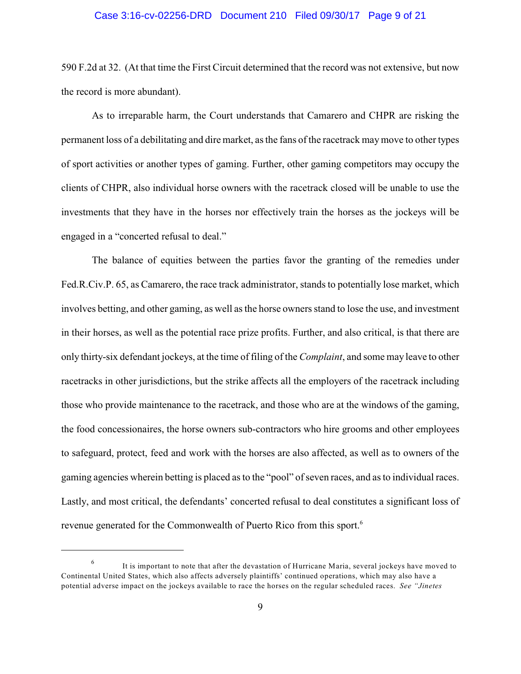#### Case 3:16-cv-02256-DRD Document 210 Filed 09/30/17 Page 9 of 21

590 F.2d at 32. (At that time the First Circuit determined that the record was not extensive, but now the record is more abundant).

As to irreparable harm, the Court understands that Camarero and CHPR are risking the permanent loss of a debilitating and dire market, as the fans of the racetrack maymove to other types of sport activities or another types of gaming. Further, other gaming competitors may occupy the clients of CHPR, also individual horse owners with the racetrack closed will be unable to use the investments that they have in the horses nor effectively train the horses as the jockeys will be engaged in a "concerted refusal to deal."

The balance of equities between the parties favor the granting of the remedies under Fed.R.Civ.P. 65, as Camarero, the race track administrator, stands to potentially lose market, which involves betting, and other gaming, as well as the horse owners stand to lose the use, and investment in their horses, as well as the potential race prize profits. Further, and also critical, is that there are only thirty-six defendant jockeys, at the time of filing of the *Complaint*, and some may leave to other racetracks in other jurisdictions, but the strike affects all the employers of the racetrack including those who provide maintenance to the racetrack, and those who are at the windows of the gaming, the food concessionaires, the horse owners sub-contractors who hire grooms and other employees to safeguard, protect, feed and work with the horses are also affected, as well as to owners of the gaming agencies wherein betting is placed as to the "pool" of seven races, and as to individual races. Lastly, and most critical, the defendants' concerted refusal to deal constitutes a significant loss of revenue generated for the Commonwealth of Puerto Rico from this sport.<sup>6</sup>

It is important to note that after the devastation of Hurricane Maria, several jockeys have moved to 6 Continental United States, which also affects adversely plaintiffs' continued operations, which may also have a potential adverse impact on the jockeys available to race the horses on the regular scheduled races. *See "Jinetes*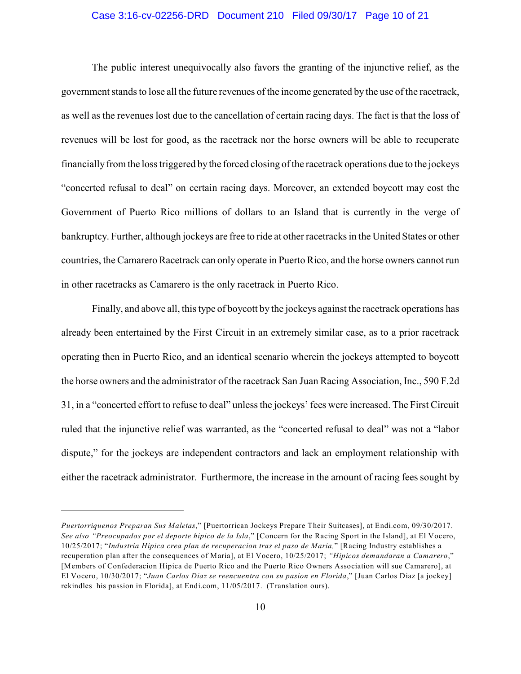#### Case 3:16-cv-02256-DRD Document 210 Filed 09/30/17 Page 10 of 21

The public interest unequivocally also favors the granting of the injunctive relief, as the government stands to lose all the future revenues of the income generated by the use of the racetrack, as well as the revenues lost due to the cancellation of certain racing days. The fact is that the loss of revenues will be lost for good, as the racetrack nor the horse owners will be able to recuperate financially from the loss triggered bythe forced closing of the racetrack operations due to the jockeys "concerted refusal to deal" on certain racing days. Moreover, an extended boycott may cost the Government of Puerto Rico millions of dollars to an Island that is currently in the verge of bankruptcy. Further, although jockeys are free to ride at other racetracks in the United States or other countries, the Camarero Racetrack can only operate in Puerto Rico, and the horse owners cannot run in other racetracks as Camarero is the only racetrack in Puerto Rico.

Finally, and above all, this type of boycott by the jockeys against the racetrack operations has already been entertained by the First Circuit in an extremely similar case, as to a prior racetrack operating then in Puerto Rico, and an identical scenario wherein the jockeys attempted to boycott the horse owners and the administrator of the racetrack San Juan Racing Association, Inc., 590 F.2d 31, in a "concerted effort to refuse to deal" unless the jockeys' fees were increased. The First Circuit ruled that the injunctive relief was warranted, as the "concerted refusal to deal" was not a "labor dispute," for the jockeys are independent contractors and lack an employment relationship with either the racetrack administrator. Furthermore, the increase in the amount of racing fees sought by

*Puertorriquenos Preparan Sus Maletas*," [Puertorrican Jockeys Prepare Their Suitcases], at Endi.com, 09/30/2017. *See also "Preocupados por el deporte hipico de la Isla*," [Concern for the Racing Sport in the Island], at El Vocero, 10/25/2017; "*Industria Hipica crea plan de recuperacion tras el paso de Maria,*" [Racing Industry establishes a recuperation plan after the consequences of Maria], at El Vocero, 10/25/2017; *"Hipicos demandaran a Camarero*," [Members of Confederacion Hipica de Puerto Rico and the Puerto Rico Owners Association will sue Camarero], at El Vocero, 10/30/2017; "*Juan Carlos Diaz se reencuentra con su pasion en Florida*," [Juan Carlos Diaz [a jockey] rekindles his passion in Florida], at Endi.com, 11/05/2017. (Translation ours).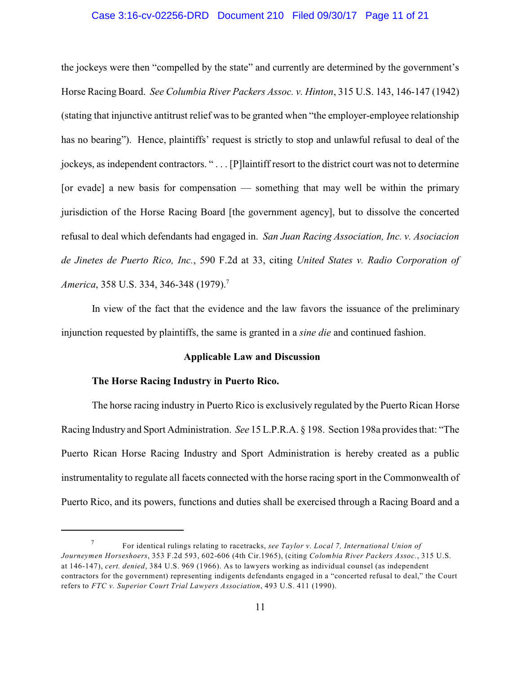#### Case 3:16-cv-02256-DRD Document 210 Filed 09/30/17 Page 11 of 21

the jockeys were then "compelled by the state" and currently are determined by the government's Horse Racing Board. *See Columbia River Packers Assoc. v. Hinton*, 315 U.S. 143, 146-147 (1942) (stating that injunctive antitrust relief was to be granted when "the employer-employee relationship has no bearing"). Hence, plaintiffs' request is strictly to stop and unlawful refusal to deal of the jockeys, as independent contractors. " . . . [P]laintiff resort to the district court was not to determine [or evade] a new basis for compensation  $-$  something that may well be within the primary jurisdiction of the Horse Racing Board [the government agency], but to dissolve the concerted refusal to deal which defendants had engaged in. *San Juan Racing Association, Inc. v. Asociacion de Jinetes de Puerto Rico, Inc.*, 590 F.2d at 33, citing *United States v. Radio Corporation of America*, 358 U.S. 334, 346-348 (1979).<sup>7</sup>

In view of the fact that the evidence and the law favors the issuance of the preliminary injunction requested by plaintiffs, the same is granted in a *sine die* and continued fashion.

### **Applicable Law and Discussion**

#### **The Horse Racing Industry in Puerto Rico.**

The horse racing industry in Puerto Rico is exclusively regulated by the Puerto Rican Horse Racing Industry and Sport Administration. *See* 15 L.P.R.A. § 198. Section 198a provides that: "The Puerto Rican Horse Racing Industry and Sport Administration is hereby created as a public instrumentality to regulate all facets connected with the horse racing sport in the Commonwealth of Puerto Rico, and its powers, functions and duties shall be exercised through a Racing Board and a

For identical rulings relating to racetracks, *see Taylor v. Local 7, International Union of* 7 *Journeymen Horseshoers*, 353 F.2d 593, 602-606 (4th Cir.1965), (citing *Colombia River Packers Assoc.*, 315 U.S. at 146-147), *cert. denied*, 384 U.S. 969 (1966). As to lawyers working as individual counsel (as independent contractors for the government) representing indigents defendants engaged in a "concerted refusal to deal," the Court refers to *FTC v. Superior Court Trial Lawyers Association*, 493 U.S. 411 (1990).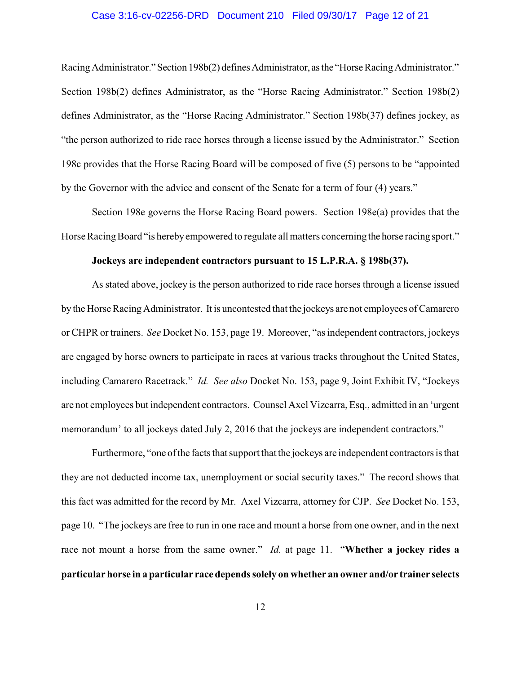#### Case 3:16-cv-02256-DRD Document 210 Filed 09/30/17 Page 12 of 21

Racing Administrator." Section 198b(2) defines Administrator, as the "Horse Racing Administrator." Section 198b(2) defines Administrator, as the "Horse Racing Administrator." Section 198b(2) defines Administrator, as the "Horse Racing Administrator." Section 198b(37) defines jockey, as "the person authorized to ride race horses through a license issued by the Administrator." Section 198c provides that the Horse Racing Board will be composed of five (5) persons to be "appointed by the Governor with the advice and consent of the Senate for a term of four (4) years."

Section 198e governs the Horse Racing Board powers. Section 198e(a) provides that the Horse Racing Board "is hereby empowered to regulate all matters concerning the horse racing sport."

#### **Jockeys are independent contractors pursuant to 15 L.P.R.A. § 198b(37).**

As stated above, jockey is the person authorized to ride race horses through a license issued by the Horse Racing Administrator. It is uncontested that the jockeys are not employees of Camarero or CHPR or trainers. *See* Docket No. 153, page 19. Moreover, "as independent contractors, jockeys are engaged by horse owners to participate in races at various tracks throughout the United States, including Camarero Racetrack." *Id. See also* Docket No. 153, page 9, Joint Exhibit IV, "Jockeys are not employees but independent contractors. Counsel Axel Vizcarra, Esq., admitted in an 'urgent memorandum' to all jockeys dated July 2, 2016 that the jockeys are independent contractors."

Furthermore, "one of the facts that support that the jockeys are independent contractors is that they are not deducted income tax, unemployment or social security taxes." The record shows that this fact was admitted for the record by Mr. Axel Vizcarra, attorney for CJP. *See* Docket No. 153, page 10. "The jockeys are free to run in one race and mount a horse from one owner, and in the next race not mount a horse from the same owner." *Id.* at page 11. "**Whether a jockey rides a particular horse in a particular racedependssolely on whether an owner and/or trainer selects**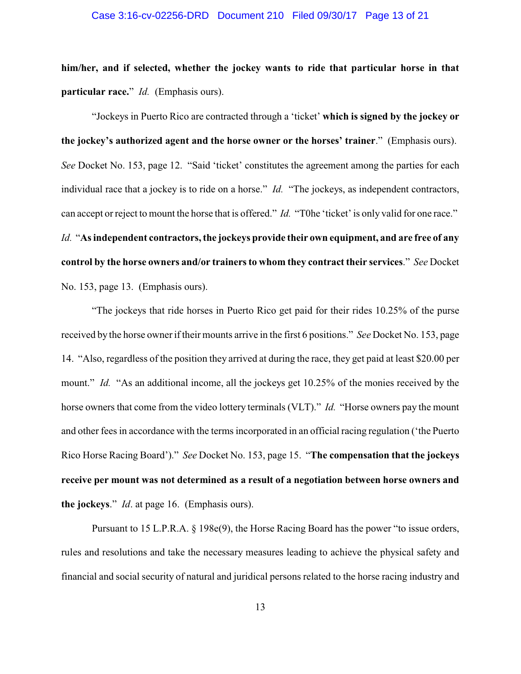#### Case 3:16-cv-02256-DRD Document 210 Filed 09/30/17 Page 13 of 21

**him/her, and if selected, whether the jockey wants to ride that particular horse in that particular race.**" *Id.* (Emphasis ours).

"Jockeys in Puerto Rico are contracted through a 'ticket' **which is signed by the jockey or the jockey's authorized agent and the horse owner or the horses' trainer**." (Emphasis ours). *See* Docket No. 153, page 12. "Said 'ticket' constitutes the agreement among the parties for each individual race that a jockey is to ride on a horse." *Id.* "The jockeys, as independent contractors, can accept or reject to mount the horse that is offered." *Id.* "T0he 'ticket' is only valid for one race." *Id.* "**As independent contractors, the jockeys provide their own equipment, and are free of any control by the horse owners and/or trainers to whom they contract their services**." *See* Docket No. 153, page 13. (Emphasis ours).

"The jockeys that ride horses in Puerto Rico get paid for their rides 10.25% of the purse received by the horse ownerif their mounts arrive in the first 6 positions." *See* Docket No. 153, page 14. "Also, regardless of the position they arrived at during the race, they get paid at least \$20.00 per mount." *Id.* "As an additional income, all the jockeys get 10.25% of the monies received by the horse owners that come from the video lottery terminals (VLT)." *Id.* "Horse owners pay the mount and other fees in accordance with the terms incorporated in an official racing regulation ('the Puerto Rico Horse Racing Board')." *See* Docket No. 153, page 15. "**The compensation that the jockeys receive per mount was not determined as a result of a negotiation between horse owners and the jockeys**." *Id*. at page 16. (Emphasis ours).

Pursuant to 15 L.P.R.A. § 198e(9), the Horse Racing Board has the power "to issue orders, rules and resolutions and take the necessary measures leading to achieve the physical safety and financial and social security of natural and juridical persons related to the horse racing industry and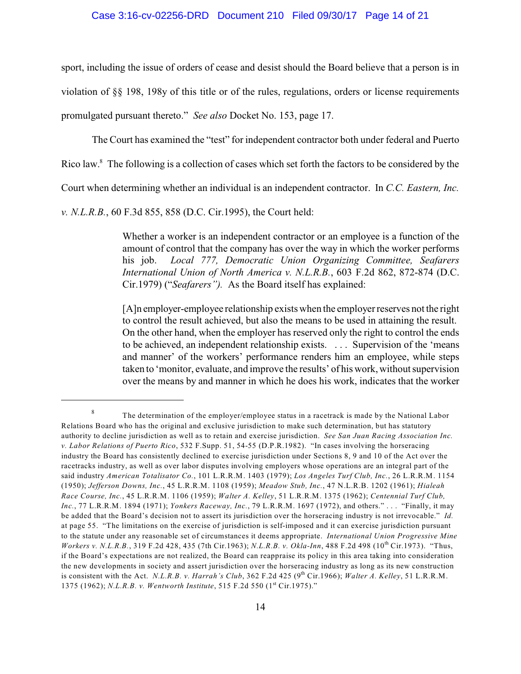sport, including the issue of orders of cease and desist should the Board believe that a person is in violation of §§ 198, 198y of this title or of the rules, regulations, orders or license requirements promulgated pursuant thereto." *See also* Docket No. 153, page 17.

The Court has examined the "test" for independent contractor both under federal and Puerto

Rico law.<sup>8</sup> The following is a collection of cases which set forth the factors to be considered by the

Court when determining whether an individual is an independent contractor. In *C.C. Eastern, Inc.*

*v. N.L.R.B.*, 60 F.3d 855, 858 (D.C. Cir.1995), the Court held:

Whether a worker is an independent contractor or an employee is a function of the amount of control that the company has over the way in which the worker performs his job. *Local 777, Democratic Union Organizing Committee, Seafarers International Union of North America v. N.L.R.B.*, 603 F.2d 862, 872-874 (D.C. Cir.1979) ("*Seafarers").* As the Board itself has explained:

[A]n employer-employee relationship exists when the employer reserves not the right to control the result achieved, but also the means to be used in attaining the result. On the other hand, when the employer has reserved only the right to control the ends to be achieved, an independent relationship exists. . . . Supervision of the 'means and manner' of the workers' performance renders him an employee, while steps taken to 'monitor, evaluate, and improve the results' of his work, without supervision over the means by and manner in which he does his work, indicates that the worker

The determination of the employer/employee status in a racetrack is made by the National Labor 8 Relations Board who has the original and exclusive jurisdiction to make such determination, but has statutory authority to decline jurisdiction as well as to retain and exercise jurisdiction. *See San Juan Racing Association Inc. v. Labor Relations of Puerto Rico*, 532 F.Supp. 51, 54-55 (D.P.R.1982). "In cases involving the horseracing industry the Board has consistently declined to exercise jurisdiction under Sections 8, 9 and 10 of the Act over the racetracks industry, as well as over labor disputes involving employers whose operations are an integral part of the said industry *American Totalisator Co.*, 101 L.R.R.M. 1403 (1979); *Los Angeles Turf Club, Inc.*, 26 L.R.R.M. 1154 (1950); *Jefferson Downs, Inc.*, 45 L.R.R.M. 1108 (1959); *Meadow Stub, Inc.*, 47 N.L.R.B. 1202 (1961); *Hialeah Race Course, Inc.*, 45 L.R.R.M. 1106 (1959); *Walter A. Kelley*, 51 L.R.R.M. 1375 (1962); *Centennial Turf Club, Inc.*, 77 L.R.R.M. 1894 (1971); *Yonkers Raceway, Inc.*, 79 L.R.R.M. 1697 (1972), and others." . . . "Finally, it may be added that the Board's decision not to assert its jurisdiction over the horseracing industry is not irrevocable." *Id.* at page 55. "The limitations on the exercise of jurisdiction is self-imposed and it can exercise jurisdiction pursuant to the statute under any reasonable set of circumstances it deems appropriate. *International Union Progressive Mine Workers v. N.L.R.B.*, 319 F.2d 428, 435 (7th Cir.1963); *N.L.R.B. v. Okla-Inn*, 488 F.2d 498 (10<sup>th</sup> Cir.1973). "Thus, if the Board's expectations are not realized, the Board can reappraise its policy in this area taking into consideration the new developments in society and assert jurisdiction over the horseracing industry as long as its new construction is consistent with the Act. N.L.R.B. *v. Harrah's Club*, 362 F.2d 425 (9<sup>th</sup> Cir.1966); Walter A. Kelley, 51 L.R.R.M. 1375 (1962); *N.L.R.B. v. Wentworth Institute*, 515 F.2d 550 (1<sup>st</sup> Cir.1975)."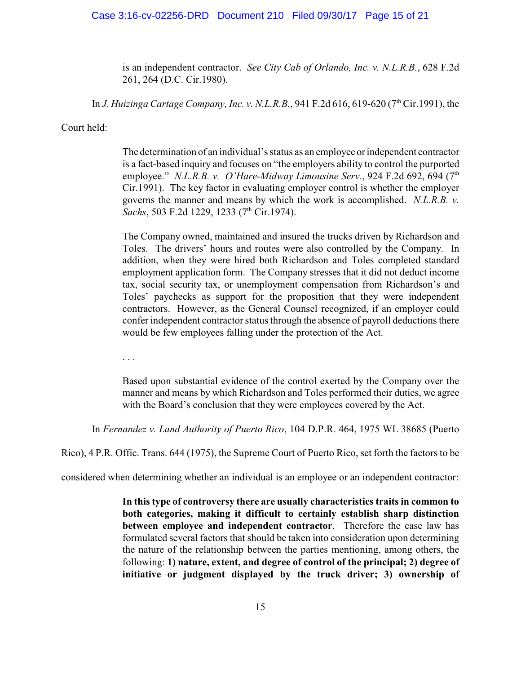#### Case 3:16-cv-02256-DRD Document 210 Filed 09/30/17 Page 15 of 21

is an independent contractor. *See City Cab of Orlando, Inc. v. N.L.R.B.*, 628 F.2d 261, 264 (D.C. Cir.1980).

In *J. Huizinga Cartage Company, Inc. v. N.L.R.B.*, 941 F.2d 616, 619-620 (7<sup>th</sup> Cir.1991), the

Court held:

The determination of an individual's status as an employee or independent contractor is a fact-based inquiry and focuses on "the employers ability to control the purported employee." *N.L.R.B. v. O'Hare-Midway Limousine Serv.*, 924 F.2d 692, 694 (7<sup>th</sup>) Cir.1991). The key factor in evaluating employer control is whether the employer governs the manner and means by which the work is accomplished. *N.L.R.B. v. Sachs*, 503 F.2d 1229, 1233 (7<sup>th</sup> Cir.1974).

The Company owned, maintained and insured the trucks driven by Richardson and Toles. The drivers' hours and routes were also controlled by the Company. In addition, when they were hired both Richardson and Toles completed standard employment application form. The Company stresses that it did not deduct income tax, social security tax, or unemployment compensation from Richardson's and Toles' paychecks as support for the proposition that they were independent contractors. However, as the General Counsel recognized, if an employer could confer independent contractor status through the absence of payroll deductions there would be few employees falling under the protection of the Act.

. . .

Based upon substantial evidence of the control exerted by the Company over the manner and means by which Richardson and Toles performed their duties, we agree with the Board's conclusion that they were employees covered by the Act.

In *Fernandez v. Land Authority of Puerto Rico*, 104 D.P.R. 464, 1975 WL 38685 (Puerto

Rico), 4 P.R. Offic. Trans. 644 (1975), the Supreme Court of Puerto Rico, set forth the factors to be

considered when determining whether an individual is an employee or an independent contractor:

**In this type of controversy there are usually characteristics traits in common to both categories, making it difficult to certainly establish sharp distinction between employee and independent contractor**. Therefore the case law has formulated several factors that should be taken into consideration upon determining the nature of the relationship between the parties mentioning, among others, the following: **1) nature, extent, and degree of control of the principal; 2) degree of initiative or judgment displayed by the truck driver; 3) ownership of**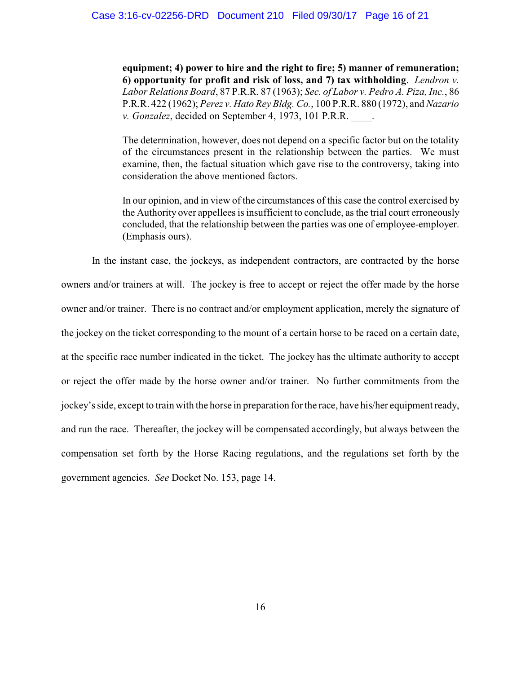**equipment; 4) power to hire and the right to fire; 5) manner of remuneration; 6) opportunity for profit and risk of loss, and 7) tax withholding**. *Lendron v. Labor Relations Board*, 87 P.R.R. 87 (1963); *Sec. of Labor v. Pedro A. Piza, Inc.*, 86 P.R.R. 422 (1962); *Perez v. Hato Rey Bldg. Co.*, 100 P.R.R. 880 (1972), and *Nazario v. Gonzalez*, decided on September 4, 1973, 101 P.R.R. \_\_\_\_.

The determination, however, does not depend on a specific factor but on the totality of the circumstances present in the relationship between the parties. We must examine, then, the factual situation which gave rise to the controversy, taking into consideration the above mentioned factors.

In our opinion, and in view of the circumstances of this case the control exercised by the Authority over appellees is insufficient to conclude, as the trial court erroneously concluded, that the relationship between the parties was one of employee-employer. (Emphasis ours).

In the instant case, the jockeys, as independent contractors, are contracted by the horse owners and/or trainers at will. The jockey is free to accept or reject the offer made by the horse owner and/or trainer. There is no contract and/or employment application, merely the signature of the jockey on the ticket corresponding to the mount of a certain horse to be raced on a certain date, at the specific race number indicated in the ticket. The jockey has the ultimate authority to accept or reject the offer made by the horse owner and/or trainer. No further commitments from the jockey's side, except to train with the horse in preparation for the race, have his/her equipment ready, and run the race. Thereafter, the jockey will be compensated accordingly, but always between the compensation set forth by the Horse Racing regulations, and the regulations set forth by the government agencies. *See* Docket No. 153, page 14.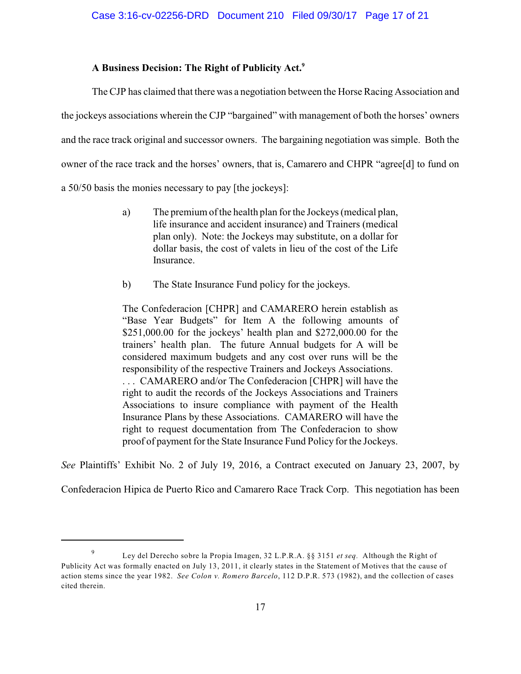### **A Business Decision: The Right of Publicity Act.<sup>9</sup>**

The CJP has claimed that there was a negotiation between the Horse Racing Association and the jockeys associations wherein the CJP "bargained" with management of both the horses' owners and the race track original and successor owners. The bargaining negotiation was simple. Both the owner of the race track and the horses' owners, that is, Camarero and CHPR "agree[d] to fund on a 50/50 basis the monies necessary to pay [the jockeys]:

- a) The premium of the health plan for the Jockeys (medical plan, life insurance and accident insurance) and Trainers (medical plan only). Note: the Jockeys may substitute, on a dollar for dollar basis, the cost of valets in lieu of the cost of the Life Insurance.
- b) The State Insurance Fund policy for the jockeys.

The Confederacion [CHPR] and CAMARERO herein establish as "Base Year Budgets" for Item A the following amounts of \$251,000.00 for the jockeys' health plan and \$272,000.00 for the trainers' health plan. The future Annual budgets for A will be considered maximum budgets and any cost over runs will be the responsibility of the respective Trainers and Jockeys Associations. . . . CAMARERO and/or The Confederacion [CHPR] will have the right to audit the records of the Jockeys Associations and Trainers Associations to insure compliance with payment of the Health Insurance Plans by these Associations. CAMARERO will have the right to request documentation from The Confederacion to show proof of payment for the State Insurance Fund Policy for the Jockeys.

*See* Plaintiffs' Exhibit No. 2 of July 19, 2016, a Contract executed on January 23, 2007, by

Confederacion Hipica de Puerto Rico and Camarero Race Track Corp. This negotiation has been

Ley del Derecho sobre la Propia Imagen, 32 L.P.R.A. §§ 3151 *et seq.* Although the Right of 9 Publicity Act was formally enacted on July 13, 2011, it clearly states in the Statement of Motives that the cause of action stems since the year 1982. *See Colon v. Romero Barcelo*, 112 D.P.R. 573 (1982), and the collection of cases cited therein.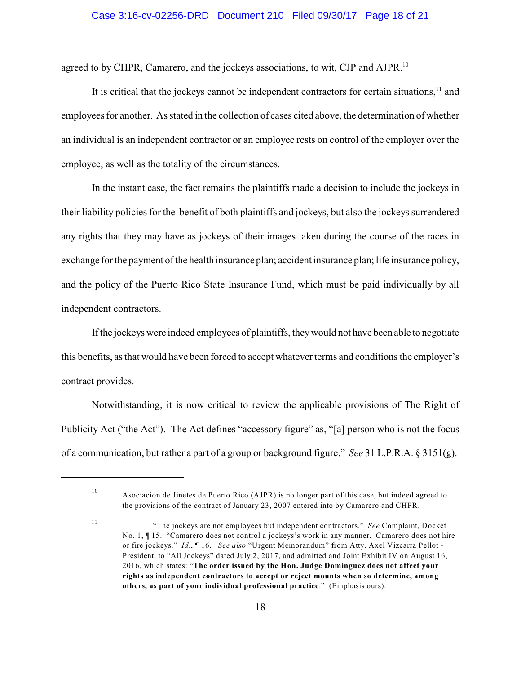agreed to by CHPR, Camarero, and the jockeys associations, to wit, CJP and AJPR.<sup>10</sup>

It is critical that the jockeys cannot be independent contractors for certain situations,  $\frac{11}{11}$  and employees for another. As stated in the collection of cases cited above, the determination of whether an individual is an independent contractor or an employee rests on control of the employer over the employee, as well as the totality of the circumstances.

In the instant case, the fact remains the plaintiffs made a decision to include the jockeys in their liability policies for the benefit of both plaintiffs and jockeys, but also the jockeys surrendered any rights that they may have as jockeys of their images taken during the course of the races in exchange for the payment of the health insurance plan; accident insurance plan; life insurance policy, and the policy of the Puerto Rico State Insurance Fund, which must be paid individually by all independent contractors.

If the jockeys were indeed employees of plaintiffs, theywould not have been able to negotiate this benefits, as that would have been forced to accept whatever terms and conditions the employer's contract provides.

Notwithstanding, it is now critical to review the applicable provisions of The Right of Publicity Act ("the Act"). The Act defines "accessory figure" as, "[a] person who is not the focus of a communication, but rather a part of a group or background figure." *See* 31 L.P.R.A. § 3151(g).

10

11

Asociacion de Jinetes de Puerto Rico (AJPR) is no longer part of this case, but indeed agreed to the provisions of the contract of January 23, 2007 entered into by Camarero and CHPR.

<sup>&</sup>quot;The jockeys are not employees but independent contractors." *See* Complaint, Docket No. 1, ¶ 15. "Camarero does not control a jockeys's work in any manner. Camarero does not hire or fire jockeys." *Id*., ¶ 16. *See also* "Urgent Memorandum" from Atty. Axel Vizcarra Pellot - President, to "All Jockeys" dated July 2, 2017, and admitted and Joint Exhibit IV on August 16, 2016, which states: "**The order issued by the Hon. Judge Dominguez does not affect your rights as independent contractors to accept or reject mounts when so determine, among others, as part of your individual professional practice**." (Emphasis ours).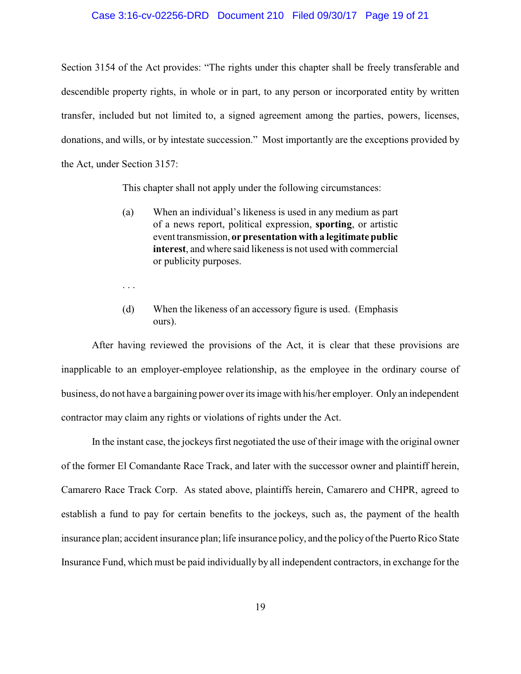#### Case 3:16-cv-02256-DRD Document 210 Filed 09/30/17 Page 19 of 21

Section 3154 of the Act provides: "The rights under this chapter shall be freely transferable and descendible property rights, in whole or in part, to any person or incorporated entity by written transfer, included but not limited to, a signed agreement among the parties, powers, licenses, donations, and wills, or by intestate succession." Most importantly are the exceptions provided by the Act, under Section 3157:

This chapter shall not apply under the following circumstances:

- (a) When an individual's likeness is used in any medium as part of a news report, political expression, **sporting**, or artistic event transmission, **or presentation with a legitimate public interest**, and where said likeness is not used with commercial or publicity purposes.
- . . .
- (d) When the likeness of an accessory figure is used. (Emphasis ours).

After having reviewed the provisions of the Act, it is clear that these provisions are inapplicable to an employer-employee relationship, as the employee in the ordinary course of business, do not have a bargaining power over its image with his/her employer. Only an independent contractor may claim any rights or violations of rights under the Act.

In the instant case, the jockeys first negotiated the use of their image with the original owner of the former El Comandante Race Track, and later with the successor owner and plaintiff herein, Camarero Race Track Corp. As stated above, plaintiffs herein, Camarero and CHPR, agreed to establish a fund to pay for certain benefits to the jockeys, such as, the payment of the health insurance plan; accident insurance plan; life insurance policy, and the policyof the Puerto Rico State Insurance Fund, which must be paid individually by all independent contractors, in exchange for the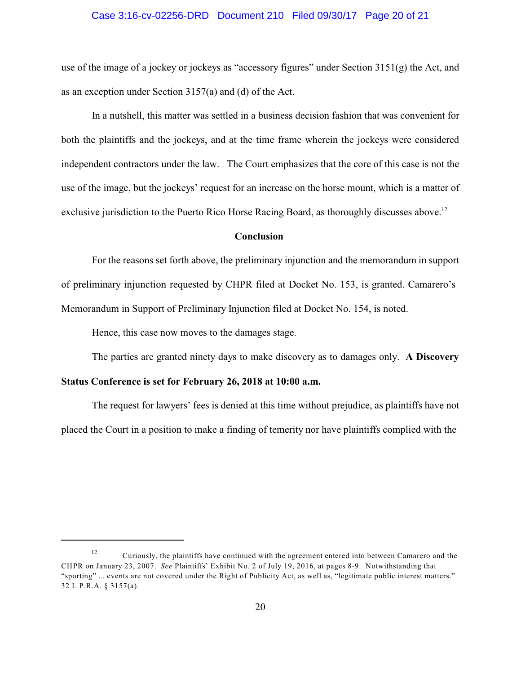#### Case 3:16-cv-02256-DRD Document 210 Filed 09/30/17 Page 20 of 21

use of the image of a jockey or jockeys as "accessory figures" under Section 3151(g) the Act, and as an exception under Section 3157(a) and (d) of the Act.

In a nutshell, this matter was settled in a business decision fashion that was convenient for both the plaintiffs and the jockeys, and at the time frame wherein the jockeys were considered independent contractors under the law. The Court emphasizes that the core of this case is not the use of the image, but the jockeys' request for an increase on the horse mount, which is a matter of exclusive jurisdiction to the Puerto Rico Horse Racing Board, as thoroughly discusses above.<sup>12</sup>

#### **Conclusion**

For the reasons set forth above, the preliminary injunction and the memorandum in support of preliminary injunction requested by CHPR filed at Docket No. 153, is granted. Camarero's Memorandum in Support of Preliminary Injunction filed at Docket No. 154, is noted.

Hence, this case now moves to the damages stage.

The parties are granted ninety days to make discovery as to damages only. **A Discovery**

### **Status Conference is set for February 26, 2018 at 10:00 a.m.**

The request for lawyers' fees is denied at this time without prejudice, as plaintiffs have not placed the Court in a position to make a finding of temerity nor have plaintiffs complied with the

Curiously, the plaintiffs have continued with the agreement entered into between Camarero and the 12 CHPR on January 23, 2007. *See* Plaintiffs' Exhibit No. 2 of July 19, 2016, at pages 8-9. Notwithstanding that "sporting" ... events are not covered under the Right of Publicity Act, as well as, "legitimate public interest matters." 32 L.P.R.A. § 3157(a).